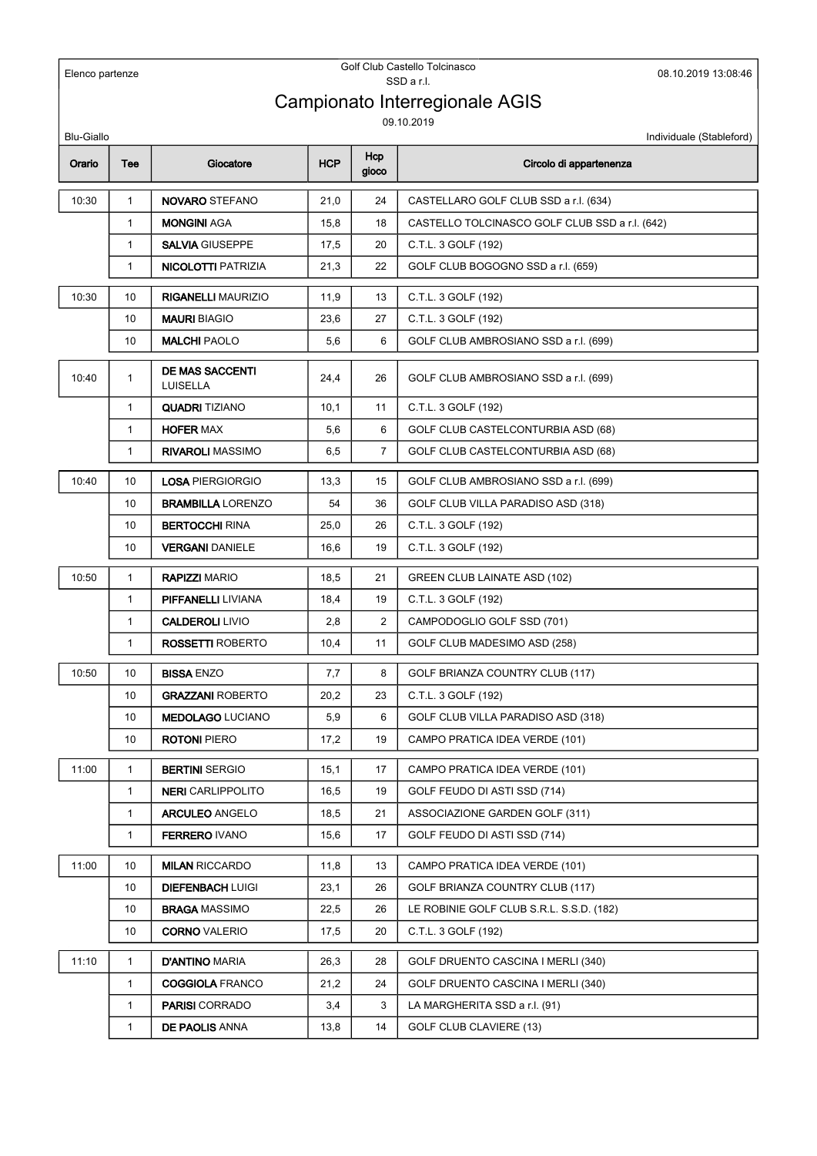| Elenco partenze   |              |                                           | Golf Club Castello Tolcinasco<br>08.10.2019 13:08:46<br>SSD a r.l. |                |                                                |
|-------------------|--------------|-------------------------------------------|--------------------------------------------------------------------|----------------|------------------------------------------------|
|                   |              |                                           |                                                                    |                | Campionato Interregionale AGIS                 |
|                   |              |                                           |                                                                    |                | 09.10.2019                                     |
| <b>Blu-Giallo</b> |              |                                           |                                                                    |                | Individuale (Stableford)                       |
| Orario            | Tee          | Giocatore                                 | <b>HCP</b>                                                         | Hcp<br>gioco   | Circolo di appartenenza                        |
| 10:30             | $\mathbf{1}$ | <b>NOVARO STEFANO</b>                     | 21,0                                                               | 24             | CASTELLARO GOLF CLUB SSD a r.l. (634)          |
|                   | $\mathbf{1}$ | <b>MONGINI AGA</b>                        | 15,8                                                               | 18             | CASTELLO TOLCINASCO GOLF CLUB SSD a r.l. (642) |
|                   | $\mathbf{1}$ | <b>SALVIA GIUSEPPE</b>                    | 17,5                                                               | 20             | C.T.L. 3 GOLF (192)                            |
|                   | $\mathbf{1}$ | <b>NICOLOTTI PATRIZIA</b>                 | 21,3                                                               | 22             | GOLF CLUB BOGOGNO SSD a r.l. (659)             |
| 10:30             | 10           | <b>RIGANELLI MAURIZIO</b>                 | 11,9                                                               | 13             | C.T.L. 3 GOLF (192)                            |
|                   | 10           | <b>MAURI BIAGIO</b>                       | 23,6                                                               | 27             | C.T.L. 3 GOLF (192)                            |
|                   | 10           | <b>MALCHI PAOLO</b>                       | 5,6                                                                | 6              | GOLF CLUB AMBROSIANO SSD a r.l. (699)          |
| 10:40             | $\mathbf{1}$ | <b>DE MAS SACCENTI</b><br><b>LUISELLA</b> | 24,4                                                               | 26             | GOLF CLUB AMBROSIANO SSD a r.l. (699)          |
|                   | $\mathbf{1}$ | <b>QUADRI TIZIANO</b>                     | 10,1                                                               | 11             | C.T.L. 3 GOLF (192)                            |
|                   | $\mathbf{1}$ | <b>HOFER MAX</b>                          | 5,6                                                                | 6              | GOLF CLUB CASTELCONTURBIA ASD (68)             |
|                   | $\mathbf{1}$ | <b>RIVAROLI MASSIMO</b>                   | 6,5                                                                | $\overline{7}$ | GOLF CLUB CASTELCONTURBIA ASD (68)             |
| 10:40             | 10           | <b>LOSA PIERGIORGIO</b>                   | 13,3                                                               | 15             | GOLF CLUB AMBROSIANO SSD a r.l. (699)          |
|                   | 10           | <b>BRAMBILLA LORENZO</b>                  | 54                                                                 | 36             | GOLF CLUB VILLA PARADISO ASD (318)             |
|                   | 10           | <b>BERTOCCHI RINA</b>                     | 25,0                                                               | 26             | C.T.L. 3 GOLF (192)                            |
|                   | 10           | <b>VERGANI DANIELE</b>                    | 16,6                                                               | 19             | C.T.L. 3 GOLF (192)                            |
| 10:50             | $\mathbf{1}$ | <b>RAPIZZI MARIO</b>                      | 18,5                                                               | 21             | GREEN CLUB LAINATE ASD (102)                   |
|                   | $\mathbf{1}$ | <b>PIFFANELLI LIVIANA</b>                 | 18,4                                                               | 19             | C.T.L. 3 GOLF (192)                            |
|                   | $\mathbf{1}$ | <b>CALDEROLI LIVIO</b>                    | 2,8                                                                | $\overline{2}$ | CAMPODOGLIO GOLF SSD (701)                     |
|                   | $\mathbf{1}$ | <b>ROSSETTI ROBERTO</b>                   | 10,4                                                               | 11             | GOLF CLUB MADESIMO ASD (258)                   |
| 10:50             | 10           | <b>BISSA ENZO</b>                         | 7,7                                                                | 8              | GOLF BRIANZA COUNTRY CLUB (117)                |
|                   | 10           | <b>GRAZZANI ROBERTO</b>                   | 20,2                                                               | 23             | C.T.L. 3 GOLF (192)                            |
|                   | 10           | <b>MEDOLAGO LUCIANO</b>                   | 5,9                                                                | 6              | GOLF CLUB VILLA PARADISO ASD (318)             |
|                   | 10           | <b>ROTONI PIERO</b>                       | 17,2                                                               | 19             | CAMPO PRATICA IDEA VERDE (101)                 |
| 11:00             | $\mathbf{1}$ | <b>BERTINI SERGIO</b>                     | 15,1                                                               | 17             | CAMPO PRATICA IDEA VERDE (101)                 |
|                   | $\mathbf{1}$ | <b>NERI</b> CARLIPPOLITO                  | 16,5                                                               | 19             | GOLF FEUDO DI ASTI SSD (714)                   |
|                   | $\mathbf{1}$ | <b>ARCULEO ANGELO</b>                     | 18,5                                                               | 21             | ASSOCIAZIONE GARDEN GOLF (311)                 |
|                   | $\mathbf{1}$ | <b>FERRERO IVANO</b>                      | 15,6                                                               | 17             | GOLF FEUDO DI ASTI SSD (714)                   |
| 11:00             | 10           | <b>MILAN RICCARDO</b>                     | 11,8                                                               | 13             | CAMPO PRATICA IDEA VERDE (101)                 |
|                   | 10           | <b>DIEFENBACH LUIGI</b>                   | 23,1                                                               | 26             | GOLF BRIANZA COUNTRY CLUB (117)                |
|                   | 10           | <b>BRAGA MASSIMO</b>                      | 22,5                                                               | 26             | LE ROBINIE GOLF CLUB S.R.L. S.S.D. (182)       |
|                   | 10           | <b>CORNO VALERIO</b>                      | 17,5                                                               | 20             | C.T.L. 3 GOLF (192)                            |
| 11:10             | $\mathbf{1}$ | <b>D'ANTINO MARIA</b>                     | 26,3                                                               | 28             | GOLF DRUENTO CASCINA I MERLI (340)             |
|                   | $\mathbf{1}$ | <b>COGGIOLA FRANCO</b>                    | 21,2                                                               | 24             | GOLF DRUENTO CASCINA I MERLI (340)             |
|                   | $\mathbf{1}$ | <b>PARISI</b> CORRADO                     | 3,4                                                                | 3              | LA MARGHERITA SSD a r.l. (91)                  |
|                   | $\mathbf{1}$ | <b>DE PAOLIS ANNA</b>                     | 13,8                                                               | 14             | GOLF CLUB CLAVIERE (13)                        |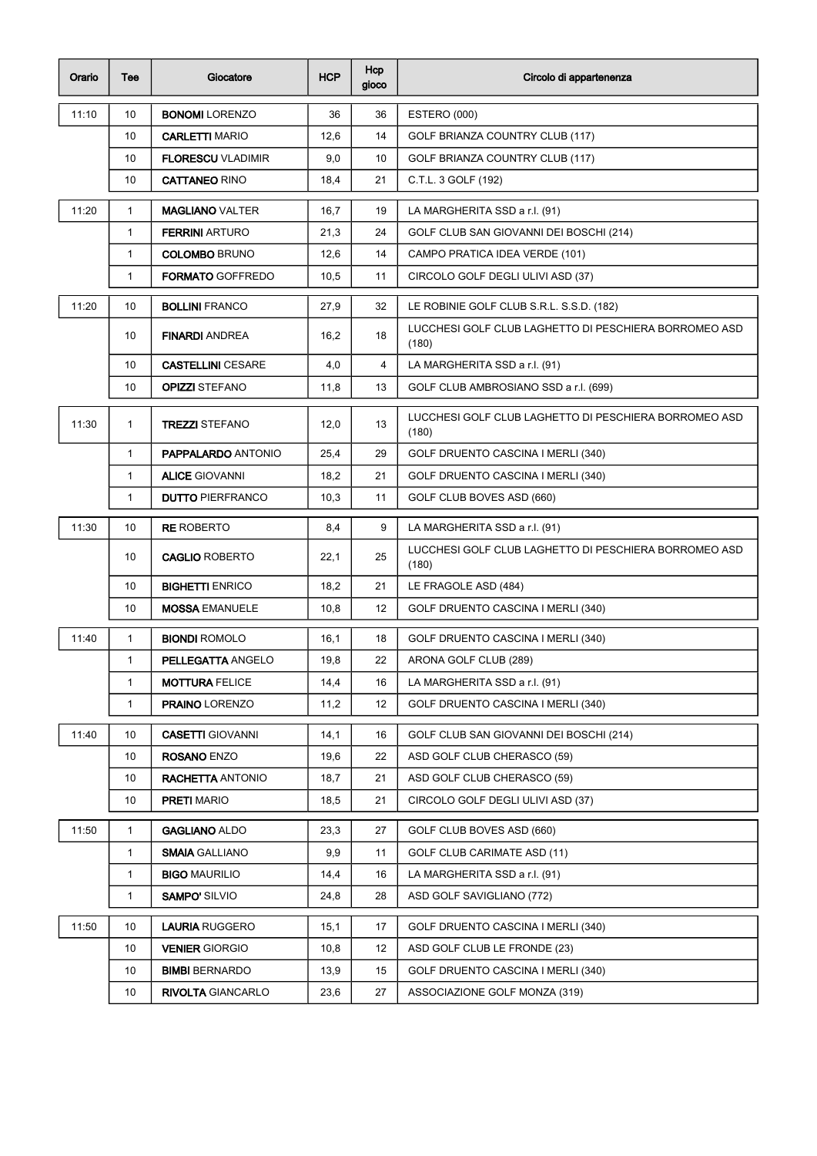| Orario | Tee          | Giocatore                 | <b>HCP</b> | Hcp<br>gioco | Circolo di appartenenza                                        |
|--------|--------------|---------------------------|------------|--------------|----------------------------------------------------------------|
| 11:10  | 10           | <b>BONOMI</b> LORENZO     | 36         | 36           | ESTERO (000)                                                   |
|        | 10           | <b>CARLETTI MARIO</b>     | 12,6       | 14           | GOLF BRIANZA COUNTRY CLUB (117)                                |
|        | 10           | <b>FLORESCU VLADIMIR</b>  | 9,0        | 10           | GOLF BRIANZA COUNTRY CLUB (117)                                |
|        | 10           | <b>CATTANEO RINO</b>      | 18,4       | 21           | C.T.L. 3 GOLF (192)                                            |
| 11:20  | $\mathbf{1}$ | <b>MAGLIANO VALTER</b>    | 16,7       | 19           | LA MARGHERITA SSD a r.l. (91)                                  |
|        | 1            | <b>FERRINI ARTURO</b>     | 21,3       | 24           | GOLF CLUB SAN GIOVANNI DEI BOSCHI (214)                        |
|        | 1            | <b>COLOMBO BRUNO</b>      | 12,6       | 14           | CAMPO PRATICA IDEA VERDE (101)                                 |
|        | $\mathbf{1}$ | <b>FORMATO GOFFREDO</b>   | 10,5       | 11           | CIRCOLO GOLF DEGLI ULIVI ASD (37)                              |
| 11:20  | 10           | <b>BOLLINI FRANCO</b>     | 27,9       | 32           | LE ROBINIE GOLF CLUB S.R.L. S.S.D. (182)                       |
|        | 10           | <b>FINARDI ANDREA</b>     | 16,2       | 18           | LUCCHESI GOLF CLUB LAGHETTO DI PESCHIERA BORROMEO ASD<br>(180) |
|        | 10           | <b>CASTELLINI CESARE</b>  | 4,0        | 4            | LA MARGHERITA SSD a r.l. (91)                                  |
|        | 10           | <b>OPIZZI STEFANO</b>     | 11,8       | 13           | GOLF CLUB AMBROSIANO SSD a r.l. (699)                          |
| 11:30  | $\mathbf{1}$ | <b>TREZZI STEFANO</b>     | 12,0       | 13           | LUCCHESI GOLF CLUB LAGHETTO DI PESCHIERA BORROMEO ASD<br>(180) |
|        | $\mathbf{1}$ | <b>PAPPALARDO ANTONIO</b> | 25,4       | 29           | GOLF DRUENTO CASCINA I MERLI (340)                             |
|        | 1            | <b>ALICE GIOVANNI</b>     | 18,2       | 21           | GOLF DRUENTO CASCINA I MERLI (340)                             |
|        | 1            | <b>DUTTO PIERFRANCO</b>   | 10,3       | 11           | GOLF CLUB BOVES ASD (660)                                      |
| 11:30  | 10           | <b>RE ROBERTO</b>         | 8,4        | 9            | LA MARGHERITA SSD a r.l. (91)                                  |
|        | 10           | <b>CAGLIO ROBERTO</b>     | 22,1       | 25           | LUCCHESI GOLF CLUB LAGHETTO DI PESCHIERA BORROMEO ASD<br>(180) |
|        | 10           | <b>BIGHETTI ENRICO</b>    | 18,2       | 21           | LE FRAGOLE ASD (484)                                           |
|        | 10           | <b>MOSSA EMANUELE</b>     | 10,8       | 12           | GOLF DRUENTO CASCINA I MERLI (340)                             |
| 11:40  | $\mathbf{1}$ | <b>BIONDI ROMOLO</b>      | 16,1       | 18           | GOLF DRUENTO CASCINA I MERLI (340)                             |
|        | 1            | <b>PELLEGATTA ANGELO</b>  | 19,8       | 22           | ARONA GOLF CLUB (289)                                          |
|        | 1            | <b>MOTTURA FELICE</b>     | 14,4       | 16           | LA MARGHERITA SSD a r.l. (91)                                  |
|        | 1            | <b>PRAINO LORENZO</b>     | 11,2       | 12           | GOLF DRUENTO CASCINA I MERLI (340)                             |
| 11:40  | 10           | <b>CASETTI GIOVANNI</b>   | 14,1       | 16           | GOLF CLUB SAN GIOVANNI DEI BOSCHI (214)                        |
|        | 10           | <b>ROSANO</b> ENZO        | 19,6       | 22           | ASD GOLF CLUB CHERASCO (59)                                    |
|        | 10           | <b>RACHETTA ANTONIO</b>   | 18,7       | 21           | ASD GOLF CLUB CHERASCO (59)                                    |
|        | 10           | <b>PRETI</b> MARIO        | 18,5       | 21           | CIRCOLO GOLF DEGLI ULIVI ASD (37)                              |
| 11:50  | 1            | <b>GAGLIANO ALDO</b>      | 23,3       | 27           | GOLF CLUB BOVES ASD (660)                                      |
|        | $\mathbf{1}$ | <b>SMAIA GALLIANO</b>     | 9,9        | 11           | <b>GOLF CLUB CARIMATE ASD (11)</b>                             |
|        | 1            | <b>BIGO MAURILIO</b>      | 14,4       | 16           | LA MARGHERITA SSD a r.l. (91)                                  |
|        | 1            | <b>SAMPO' SILVIO</b>      | 24,8       | 28           | ASD GOLF SAVIGLIANO (772)                                      |
| 11:50  | 10           | <b>LAURIA RUGGERO</b>     | 15,1       | 17           | GOLF DRUENTO CASCINA I MERLI (340)                             |
|        | 10           | <b>VENIER GIORGIO</b>     | 10,8       | 12           | ASD GOLF CLUB LE FRONDE (23)                                   |
|        | 10           | <b>BIMBI</b> BERNARDO     | 13,9       | 15           | GOLF DRUENTO CASCINA I MERLI (340)                             |
|        | 10           | <b>RIVOLTA GIANCARLO</b>  | 23,6       | 27           | ASSOCIAZIONE GOLF MONZA (319)                                  |